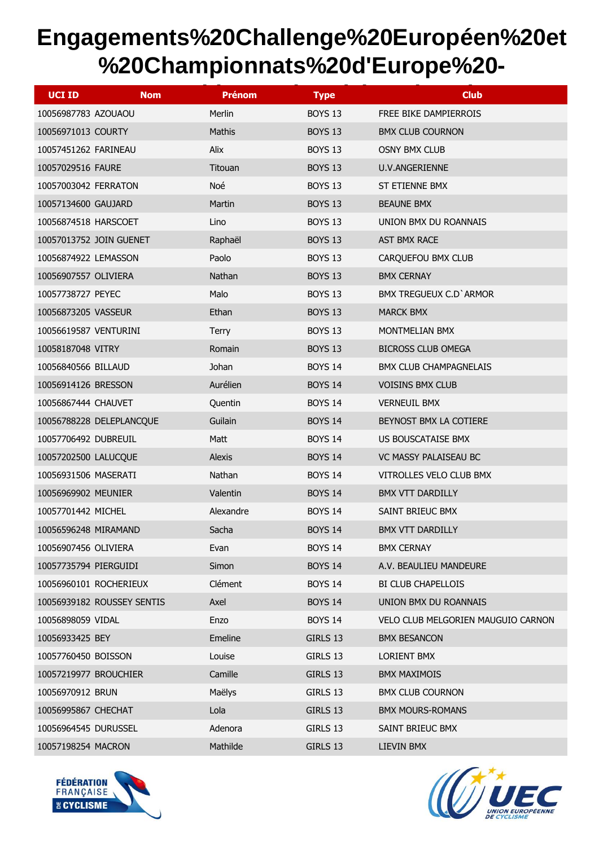| <b>UCI ID</b><br><b>Nom</b> | <b>Prénom</b> | <b>Type</b>    | <b>Club</b>                        |
|-----------------------------|---------------|----------------|------------------------------------|
| 10056987783 AZOUAOU         | Merlin        | BOYS 13        | FREE BIKE DAMPIERROIS              |
| 10056971013 COURTY          | Mathis        | <b>BOYS 13</b> | <b>BMX CLUB COURNON</b>            |
| 10057451262 FARINEAU        | <b>Alix</b>   | BOYS 13        | <b>OSNY BMX CLUB</b>               |
| 10057029516 FAURE           | Titouan       | <b>BOYS 13</b> | U.V.ANGERIENNE                     |
| 10057003042 FERRATON        | Noé           | BOYS 13        | ST ETIENNE BMX                     |
| 10057134600 GAUJARD         | Martin        | <b>BOYS 13</b> | <b>BEAUNE BMX</b>                  |
| 10056874518 HARSCOET        | Lino          | BOYS 13        | UNION BMX DU ROANNAIS              |
| 10057013752 JOIN GUENET     | Raphaël       | <b>BOYS 13</b> | AST BMX RACE                       |
| 10056874922 LEMASSON        | Paolo         | BOYS 13        | CARQUEFOU BMX CLUB                 |
| 10056907557 OLIVIERA        | Nathan        | <b>BOYS 13</b> | <b>BMX CERNAY</b>                  |
| 10057738727 PEYEC           | Malo          | BOYS 13        | <b>BMX TREGUEUX C.D' ARMOR</b>     |
| 10056873205 VASSEUR         | Ethan         | <b>BOYS 13</b> | <b>MARCK BMX</b>                   |
| 10056619587 VENTURINI       | <b>Terry</b>  | <b>BOYS 13</b> | MONTMELIAN BMX                     |
| 10058187048 VITRY           | Romain        | <b>BOYS 13</b> | <b>BICROSS CLUB OMEGA</b>          |
| 10056840566 BILLAUD         | Johan         | <b>BOYS 14</b> | BMX CLUB CHAMPAGNELAIS             |
| 10056914126 BRESSON         | Aurélien      | <b>BOYS 14</b> | <b>VOISINS BMX CLUB</b>            |
| 10056867444 CHAUVET         | Quentin       | <b>BOYS 14</b> | <b>VERNEUIL BMX</b>                |
| 10056788228 DELEPLANCQUE    | Guilain       | <b>BOYS 14</b> | BEYNOST BMX LA COTIERE             |
| 10057706492 DUBREUIL        | Matt          | <b>BOYS 14</b> | US BOUSCATAISE BMX                 |
| 10057202500 LALUCQUE        | <b>Alexis</b> | <b>BOYS 14</b> | VC MASSY PALAISEAU BC              |
| 10056931506 MASERATI        | Nathan        | <b>BOYS 14</b> | VITROLLES VELO CLUB BMX            |
| 10056969902 MEUNIER         | Valentin      | <b>BOYS 14</b> | <b>BMX VTT DARDILLY</b>            |
| 10057701442 MICHEL          | Alexandre     | <b>BOYS 14</b> | SAINT BRIEUC BMX                   |
| 10056596248 MIRAMAND        | Sacha         | <b>BOYS 14</b> | <b>BMX VTT DARDILLY</b>            |
| 10056907456 OLIVIERA        | Evan          | <b>BOYS 14</b> | <b>BMX CERNAY</b>                  |
| 10057735794 PIERGUIDI       | Simon         | <b>BOYS 14</b> | A.V. BEAULIEU MANDEURE             |
| 10056960101 ROCHERIEUX      | Clément       | <b>BOYS 14</b> | BI CLUB CHAPELLOIS                 |
| 10056939182 ROUSSEY SENTIS  | Axel          | <b>BOYS 14</b> | UNION BMX DU ROANNAIS              |
| 10056898059 VIDAL           | Enzo          | <b>BOYS 14</b> | VELO CLUB MELGORIEN MAUGUIO CARNON |
| 10056933425 BEY             | Emeline       | GIRLS 13       | <b>BMX BESANCON</b>                |
| 10057760450 BOISSON         | Louise        | GIRLS 13       | LORIENT BMX                        |
| 10057219977 BROUCHIER       | Camille       | GIRLS 13       | <b>BMX MAXIMOIS</b>                |
| 10056970912 BRUN            | Maëlys        | GIRLS 13       | <b>BMX CLUB COURNON</b>            |
| 10056995867 CHECHAT         | Lola          | GIRLS 13       | <b>BMX MOURS-ROMANS</b>            |
| 10056964545 DURUSSEL        | Adenora       | GIRLS 13       | SAINT BRIEUC BMX                   |
| 10057198254 MACRON          | Mathilde      | GIRLS 13       | LIEVIN BMX                         |



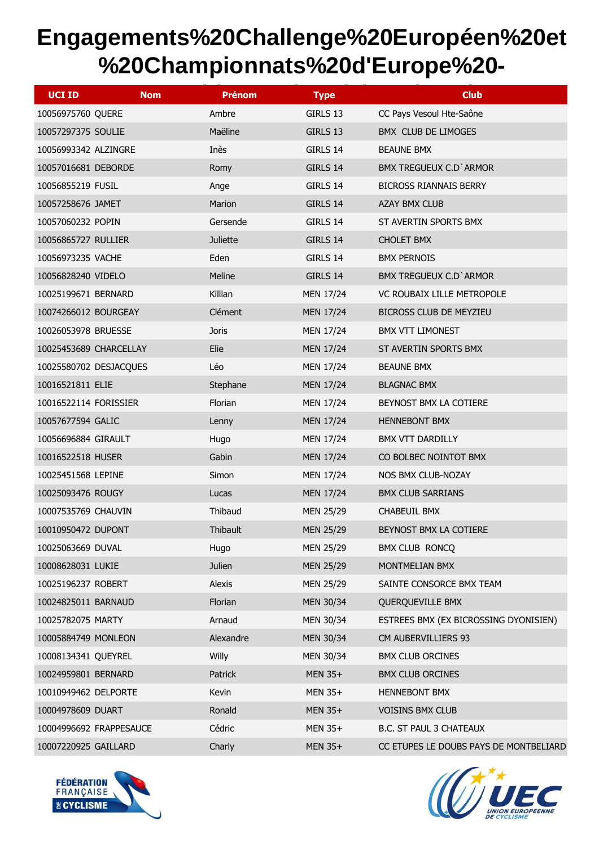| <b>UCI ID</b>           | <b>Nom</b> | <b>Prénom</b>   | <b>Type</b>      | <b>Club</b>                            |
|-------------------------|------------|-----------------|------------------|----------------------------------------|
| 10056975760 QUERE       |            | Ambre           | GIRLS 13         | CC Pays Vesoul Hte-Saône               |
| 10057297375 SOULIE      |            | Maëline         | GIRLS 13         | BMX CLUB DE LIMOGES                    |
| 10056993342 ALZINGRE    |            | Inès            | GIRLS 14         | <b>BEAUNE BMX</b>                      |
| 10057016681 DEBORDE     |            | Romy            | GIRLS 14         | <b>BMX TREGUEUX C.D' ARMOR</b>         |
| 10056855219 FUSIL       |            | Ange            | GIRLS 14         | <b>BICROSS RIANNAIS BERRY</b>          |
| 10057258676 JAMET       |            | Marion          | GIRLS 14         | <b>AZAY BMX CLUB</b>                   |
| 10057060232 POPIN       |            | Gersende        | GIRLS 14         | ST AVERTIN SPORTS BMX                  |
| 10056865727 RULLIER     |            | <b>Juliette</b> | GIRLS 14         | <b>CHOLET BMX</b>                      |
| 10056973235 VACHE       |            | Eden            | GIRLS 14         | <b>BMX PERNOIS</b>                     |
| 10056828240 VIDELO      |            | Meline          | GIRLS 14         | BMX TREGUEUX C.D' ARMOR                |
| 10025199671 BERNARD     |            | Killian         | <b>MEN 17/24</b> | <b>VC ROUBAIX LILLE METROPOLE</b>      |
| 10074266012 BOURGEAY    |            | Clément         | <b>MEN 17/24</b> | BICROSS CLUB DE MEYZIEU                |
| 10026053978 BRUESSE     |            | <b>Joris</b>    | <b>MEN 17/24</b> | <b>BMX VTT LIMONEST</b>                |
| 10025453689 CHARCELLAY  |            | Elie            | <b>MEN 17/24</b> | ST AVERTIN SPORTS BMX                  |
| 10025580702 DESJACQUES  |            | Léo             | <b>MEN 17/24</b> | <b>BEAUNE BMX</b>                      |
| 10016521811 ELIE        |            | Stephane        | <b>MEN 17/24</b> | <b>BLAGNAC BMX</b>                     |
| 10016522114 FORISSIER   |            | Florian         | <b>MEN 17/24</b> | BEYNOST BMX LA COTIERE                 |
| 10057677594 GALIC       |            | Lenny           | <b>MEN 17/24</b> | <b>HENNEBONT BMX</b>                   |
| 10056696884 GIRAULT     |            | Hugo            | <b>MEN 17/24</b> | BMX VTT DARDILLY                       |
| 10016522518 HUSER       |            | Gabin           | <b>MEN 17/24</b> | CO BOLBEC NOINTOT BMX                  |
| 10025451568 LEPINE      |            | Simon           | <b>MEN 17/24</b> | NOS BMX CLUB-NOZAY                     |
| 10025093476 ROUGY       |            | Lucas           | <b>MEN 17/24</b> | <b>BMX CLUB SARRIANS</b>               |
| 10007535769 CHAUVIN     |            | Thibaud         | <b>MEN 25/29</b> | CHABEUIL BMX                           |
| 10010950472 DUPONT      |            | Thibault        | <b>MEN 25/29</b> | BEYNOST BMX LA COTIERE                 |
| 10025063669 DUVAL       |            | Hugo            | <b>MEN 25/29</b> | <b>BMX CLUB RONCQ</b>                  |
| 10008628031 LUKIE       |            | Julien          | <b>MEN 25/29</b> | MONTMELIAN BMX                         |
| 10025196237 ROBERT      |            | Alexis          | <b>MEN 25/29</b> | SAINTE CONSORCE BMX TEAM               |
| 10024825011 BARNAUD     |            | Florian         | MEN 30/34        | QUERQUEVILLE BMX                       |
| 10025782075 MARTY       |            | Arnaud          | MEN 30/34        | ESTREES BMX (EX BICROSSING DYONISIEN)  |
| 10005884749 MONLEON     |            | Alexandre       | MEN 30/34        | CM AUBERVILLIERS 93                    |
| 10008134341 QUEYREL     |            | Willy           | MEN 30/34        | <b>BMX CLUB ORCINES</b>                |
| 10024959801 BERNARD     |            | Patrick         | MEN 35+          | <b>BMX CLUB ORCINES</b>                |
| 10010949462 DELPORTE    |            | Kevin           | MEN 35+          | <b>HENNEBONT BMX</b>                   |
| 10004978609 DUART       |            | Ronald          | MEN 35+          | VOISINS BMX CLUB                       |
| 10004996692 FRAPPESAUCE |            | Cédric          | MEN 35+          | B.C. ST PAUL 3 CHATEAUX                |
| 10007220925 GAILLARD    |            | Charly          | MEN 35+          | CC ETUPES LE DOUBS PAYS DE MONTBELIARD |



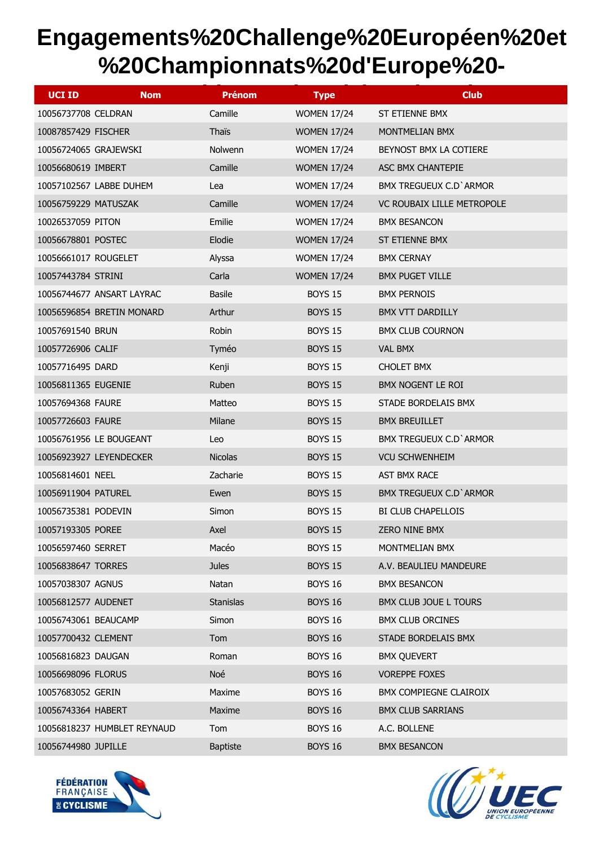| <b>UCI ID</b><br><b>Nom</b> | <b>Prénom</b>    | <b>Type</b>        | <b>Club</b>                |
|-----------------------------|------------------|--------------------|----------------------------|
| 10056737708 CELDRAN         | Camille          | <b>WOMEN 17/24</b> | ST ETIENNE BMX             |
| 10087857429 FISCHER         | Thaïs            | <b>WOMEN 17/24</b> | MONTMELIAN BMX             |
| 10056724065 GRAJEWSKI       | Nolwenn          | <b>WOMEN 17/24</b> | BEYNOST BMX LA COTIERE     |
| 10056680619 IMBERT          | Camille          | <b>WOMEN 17/24</b> | ASC BMX CHANTEPIE          |
| 10057102567 LABBE DUHEM     | Lea              | <b>WOMEN 17/24</b> | BMX TREGUEUX C.D' ARMOR    |
| 10056759229 MATUSZAK        | Camille          | <b>WOMEN 17/24</b> | VC ROUBAIX LILLE METROPOLE |
| 10026537059 PITON           | Emilie           | <b>WOMEN 17/24</b> | <b>BMX BESANCON</b>        |
| 10056678801 POSTEC          | Elodie           | <b>WOMEN 17/24</b> | ST ETIENNE BMX             |
| 10056661017 ROUGELET        | Alyssa           | <b>WOMEN 17/24</b> | <b>BMX CERNAY</b>          |
| 10057443784 STRINI          | Carla            | <b>WOMEN 17/24</b> | <b>BMX PUGET VILLE</b>     |
| 10056744677 ANSART LAYRAC   | <b>Basile</b>    | <b>BOYS 15</b>     | <b>BMX PERNOIS</b>         |
| 10056596854 BRETIN MONARD   | Arthur           | <b>BOYS 15</b>     | <b>BMX VTT DARDILLY</b>    |
| 10057691540 BRUN            | Robin            | <b>BOYS 15</b>     | <b>BMX CLUB COURNON</b>    |
| 10057726906 CALIF           | Tyméo            | <b>BOYS 15</b>     | <b>VAL BMX</b>             |
| 10057716495 DARD            | Kenji            | <b>BOYS 15</b>     | <b>CHOLET BMX</b>          |
| 10056811365 EUGENIE         | Ruben            | <b>BOYS 15</b>     | BMX NOGENT LE ROI          |
| 10057694368 FAURE           | Matteo           | <b>BOYS 15</b>     | STADE BORDELAIS BMX        |
| 10057726603 FAURE           | Milane           | <b>BOYS 15</b>     | <b>BMX BREUILLET</b>       |
| 10056761956 LE BOUGEANT     | Leo              | <b>BOYS 15</b>     | BMX TREGUEUX C.D' ARMOR    |
| 10056923927 LEYENDECKER     | <b>Nicolas</b>   | <b>BOYS 15</b>     | <b>VCU SCHWENHEIM</b>      |
| 10056814601 NEEL            | Zacharie         | <b>BOYS 15</b>     | <b>AST BMX RACE</b>        |
| 10056911904 PATUREL         | Ewen             | <b>BOYS 15</b>     | BMX TREGUEUX C.D' ARMOR    |
| 10056735381 PODEVIN         | Simon            | <b>BOYS 15</b>     | <b>BI CLUB CHAPELLOIS</b>  |
| 10057193305 POREE           | Axel             | <b>BOYS 15</b>     | <b>ZERO NINE BMX</b>       |
| 10056597460 SERRET          | Macéo            | <b>BOYS 15</b>     | MONTMELIAN BMX             |
| 10056838647 TORRES          | <b>Jules</b>     | <b>BOYS 15</b>     | A.V. BEAULIEU MANDEURE     |
| 10057038307 AGNUS           | Natan            | <b>BOYS 16</b>     | <b>BMX BESANCON</b>        |
| 10056812577 AUDENET         | <b>Stanislas</b> | <b>BOYS 16</b>     | BMX CLUB JOUE L TOURS      |
| 10056743061 BEAUCAMP        | Simon            | <b>BOYS 16</b>     | <b>BMX CLUB ORCINES</b>    |
| 10057700432 CLEMENT         | Tom              | <b>BOYS 16</b>     | STADE BORDELAIS BMX        |
| 10056816823 DAUGAN          | Roman            | <b>BOYS 16</b>     | <b>BMX QUEVERT</b>         |
| 10056698096 FLORUS          | Noé              | <b>BOYS 16</b>     | <b>VOREPPE FOXES</b>       |
| 10057683052 GERIN           | Maxime           | <b>BOYS 16</b>     | BMX COMPIEGNE CLAIROIX     |
| 10056743364 HABERT          | Maxime           | <b>BOYS 16</b>     | <b>BMX CLUB SARRIANS</b>   |
| 10056818237 HUMBLET REYNAUD | Tom              | <b>BOYS 16</b>     | A.C. BOLLENE               |
| 10056744980 JUPILLE         | <b>Baptiste</b>  | <b>BOYS 16</b>     | <b>BMX BESANCON</b>        |



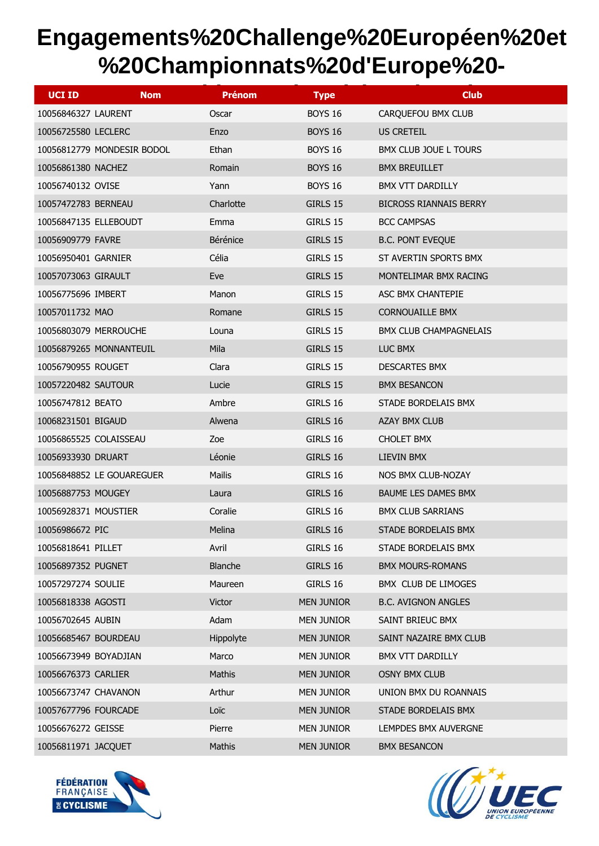| <b>UCI ID</b><br><b>Nom</b> | <b>Prénom</b>  | <b>Type</b>       | <b>Club</b>                   |
|-----------------------------|----------------|-------------------|-------------------------------|
| 10056846327 LAURENT         | Oscar          | <b>BOYS 16</b>    | CARQUEFOU BMX CLUB            |
| 10056725580 LECLERC         | Enzo           | <b>BOYS 16</b>    | US CRETEIL                    |
| 10056812779 MONDESIR BODOL  | Ethan          | <b>BOYS 16</b>    | BMX CLUB JOUE L TOURS         |
| 10056861380 NACHEZ          | Romain         | <b>BOYS 16</b>    | <b>BMX BREUILLET</b>          |
| 10056740132 OVISE           | Yann           | <b>BOYS 16</b>    | BMX VTT DARDILLY              |
| 10057472783 BERNEAU         | Charlotte      | GIRLS 15          | <b>BICROSS RIANNAIS BERRY</b> |
| 10056847135 ELLEBOUDT       | Emma           | GIRLS 15          | <b>BCC CAMPSAS</b>            |
| 10056909779 FAVRE           | Bérénice       | GIRLS 15          | <b>B.C. PONT EVEQUE</b>       |
| 10056950401 GARNIER         | Célia          | GIRLS 15          | ST AVERTIN SPORTS BMX         |
| 10057073063 GIRAULT         | Eve            | GIRLS 15          | MONTELIMAR BMX RACING         |
| 10056775696 IMBERT          | Manon          | GIRLS 15          | ASC BMX CHANTEPIE             |
| 10057011732 MAO             | Romane         | GIRLS 15          | <b>CORNOUAILLE BMX</b>        |
| 10056803079 MERROUCHE       | Louna          | GIRLS 15          | <b>BMX CLUB CHAMPAGNELAIS</b> |
| 10056879265 MONNANTEUIL     | Mila           | GIRLS 15          | LUC BMX                       |
| 10056790955 ROUGET          | Clara          | GIRLS 15          | <b>DESCARTES BMX</b>          |
| 10057220482 SAUTOUR         | Lucie          | GIRLS 15          | <b>BMX BESANCON</b>           |
| 10056747812 BEATO           | Ambre          | GIRLS 16          | STADE BORDELAIS BMX           |
| 10068231501 BIGAUD          | Alwena         | GIRLS 16          | AZAY BMX CLUB                 |
| 10056865525 COLAISSEAU      | Zoe            | GIRLS 16          | <b>CHOLET BMX</b>             |
| 10056933930 DRUART          | Léonie         | GIRLS 16          | LIEVIN BMX                    |
| 10056848852 LE GOUAREGUER   | <b>Mailis</b>  | GIRLS 16          | NOS BMX CLUB-NOZAY            |
| 10056887753 MOUGEY          | Laura          | GIRLS 16          | <b>BAUME LES DAMES BMX</b>    |
| 10056928371 MOUSTIER        | Coralie        | GIRLS 16          | <b>BMX CLUB SARRIANS</b>      |
| 10056986672 PIC             | Melina         | GIRLS 16          | STADE BORDELAIS BMX           |
| 10056818641 PILLET          | Avril          | GIRLS 16          | STADE BORDELAIS BMX           |
| 10056897352 PUGNET          | <b>Blanche</b> | GIRLS 16          | <b>BMX MOURS-ROMANS</b>       |
| 10057297274 SOULIE          | Maureen        | GIRLS 16          | BMX CLUB DE LIMOGES           |
| 10056818338 AGOSTI          | Victor         | <b>MEN JUNIOR</b> | <b>B.C. AVIGNON ANGLES</b>    |
| 10056702645 AUBIN           | Adam           | <b>MEN JUNIOR</b> | SAINT BRIEUC BMX              |
| 10056685467 BOURDEAU        | Hippolyte      | <b>MEN JUNIOR</b> | SAINT NAZAIRE BMX CLUB        |
| 10056673949 BOYADJIAN       | Marco          | <b>MEN JUNIOR</b> | <b>BMX VTT DARDILLY</b>       |
| 10056676373 CARLIER         | Mathis         | <b>MEN JUNIOR</b> | OSNY BMX CLUB                 |
| 10056673747 CHAVANON        | Arthur         | <b>MEN JUNIOR</b> | UNION BMX DU ROANNAIS         |
| 10057677796 FOURCADE        | Loïc           | <b>MEN JUNIOR</b> | STADE BORDELAIS BMX           |
| 10056676272 GEISSE          | Pierre         | <b>MEN JUNIOR</b> | LEMPDES BMX AUVERGNE          |
| 10056811971 JACQUET         | Mathis         | <b>MEN JUNIOR</b> | <b>BMX BESANCON</b>           |



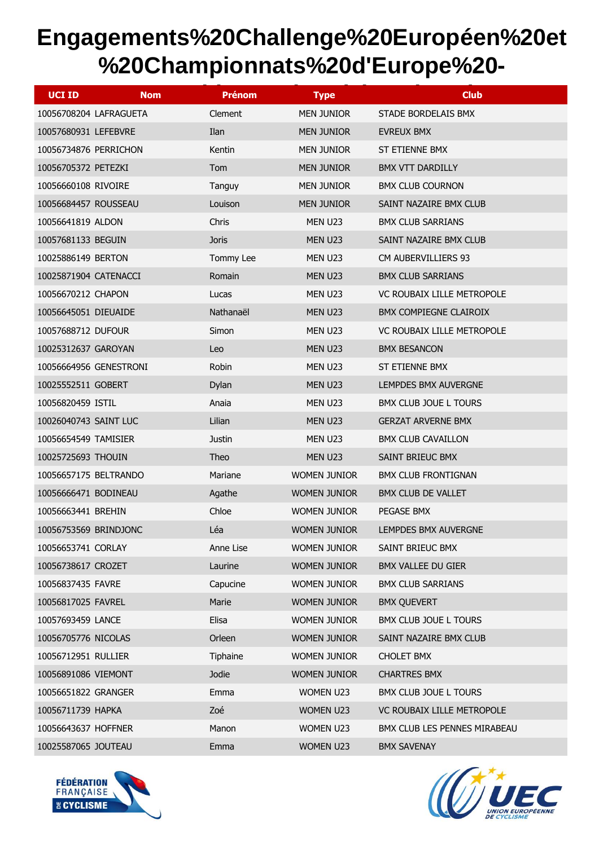| <b>UCI ID</b><br><b>Nom</b> | <b>Prénom</b> | <b>Type</b>         | <b>Club</b>                  |
|-----------------------------|---------------|---------------------|------------------------------|
| 10056708204 LAFRAGUETA      | Clement       | <b>MEN JUNIOR</b>   | STADE BORDELAIS BMX          |
| 10057680931 LEFEBVRE        | Ilan          | <b>MEN JUNIOR</b>   | EVREUX BMX                   |
| 10056734876 PERRICHON       | Kentin        | <b>MEN JUNIOR</b>   | ST ETIENNE BMX               |
| 10056705372 PETEZKI         | Tom           | <b>MEN JUNIOR</b>   | <b>BMX VTT DARDILLY</b>      |
| 10056660108 RIVOIRE         | Tanguy        | <b>MEN JUNIOR</b>   | <b>BMX CLUB COURNON</b>      |
| 10056684457 ROUSSEAU        | Louison       | <b>MEN JUNIOR</b>   | SAINT NAZAIRE BMX CLUB       |
| 10056641819 ALDON           | Chris         | MEN U23             | <b>BMX CLUB SARRIANS</b>     |
| 10057681133 BEGUIN          | <b>Joris</b>  | MEN U23             | SAINT NAZAIRE BMX CLUB       |
| 10025886149 BERTON          | Tommy Lee     | MEN U23             | CM AUBERVILLIERS 93          |
| 10025871904 CATENACCI       | Romain        | MEN U23             | <b>BMX CLUB SARRIANS</b>     |
| 10056670212 CHAPON          | Lucas         | MEN U23             | VC ROUBAIX LILLE METROPOLE   |
| 10056645051 DIEUAIDE        | Nathanaël     | MEN U23             | BMX COMPIEGNE CLAIROIX       |
| 10057688712 DUFOUR          | Simon         | MEN U23             | VC ROUBAIX LILLE METROPOLE   |
| 10025312637 GAROYAN         | Leo           | MEN U23             | <b>BMX BESANCON</b>          |
| 10056664956 GENESTRONI      | Robin         | MEN U23             | ST ETIENNE BMX               |
| 10025552511 GOBERT          | Dylan         | MEN U23             | LEMPDES BMX AUVERGNE         |
| 10056820459 ISTIL           | Anaia         | MEN U23             | BMX CLUB JOUE L TOURS        |
| 10026040743 SAINT LUC       | Lilian        | MEN U23             | <b>GERZAT ARVERNE BMX</b>    |
| 10056654549 TAMISIER        | <b>Justin</b> | MEN U23             | <b>BMX CLUB CAVAILLON</b>    |
| 10025725693 THOUIN          | Theo          | MEN U23             | SAINT BRIEUC BMX             |
| 10056657175 BELTRANDO       | Mariane       | <b>WOMEN JUNIOR</b> | <b>BMX CLUB FRONTIGNAN</b>   |
| 10056666471 BODINEAU        | Agathe        | <b>WOMEN JUNIOR</b> | BMX CLUB DE VALLET           |
| 10056663441 BREHIN          | Chloe         | <b>WOMEN JUNIOR</b> | PEGASE BMX                   |
| 10056753569 BRINDJONC       | Léa           | <b>WOMEN JUNIOR</b> | LEMPDES BMX AUVERGNE         |
| 10056653741 CORLAY          | Anne Lise     | <b>WOMEN JUNIOR</b> | SAINT BRIEUC BMX             |
| 10056738617 CROZET          | Laurine       | <b>WOMEN JUNIOR</b> | BMX VALLEE DU GIER           |
| 10056837435 FAVRE           | Capucine      | <b>WOMEN JUNIOR</b> | <b>BMX CLUB SARRIANS</b>     |
| 10056817025 FAVREL          | Marie         | <b>WOMEN JUNIOR</b> | <b>BMX QUEVERT</b>           |
| 10057693459 LANCE           | Elisa         | <b>WOMEN JUNIOR</b> | BMX CLUB JOUE L TOURS        |
| 10056705776 NICOLAS         | Orleen        | <b>WOMEN JUNIOR</b> | SAINT NAZAIRE BMX CLUB       |
| 10056712951 RULLIER         | Tiphaine      | <b>WOMEN JUNIOR</b> | <b>CHOLET BMX</b>            |
| 10056891086 VIEMONT         | Jodie         | <b>WOMEN JUNIOR</b> | <b>CHARTRES BMX</b>          |
| 10056651822 GRANGER         | Emma          | WOMEN U23           | BMX CLUB JOUE L TOURS        |
| 10056711739 HAPKA           | Zoé           | WOMEN U23           | VC ROUBAIX LILLE METROPOLE   |
| 10056643637 HOFFNER         | Manon         | WOMEN U23           | BMX CLUB LES PENNES MIRABEAU |
| 10025587065 JOUTEAU         | Emma          | WOMEN U23           | <b>BMX SAVENAY</b>           |